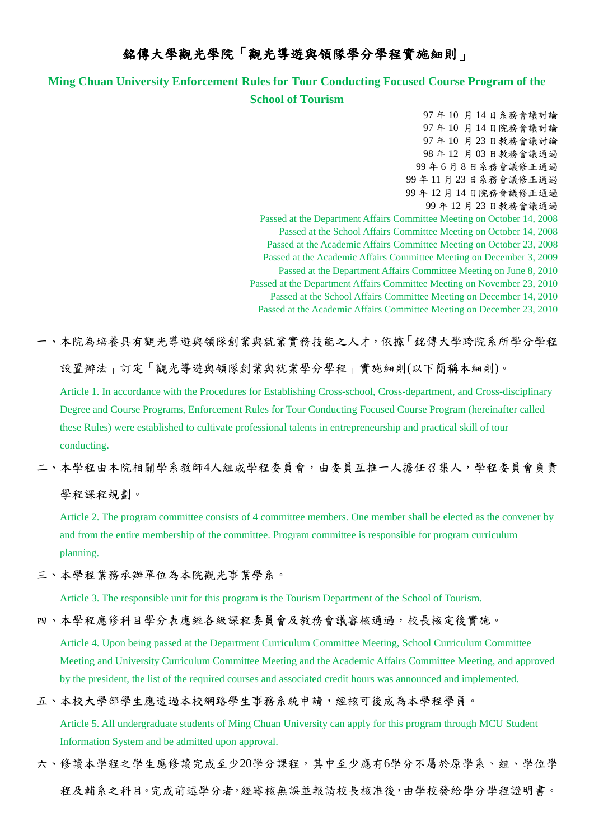## 銘傳大學觀光學院「觀光導遊與領隊學分學程實施細則」

## **Ming Chuan University Enforcement Rules for Tour Conducting Focused Course Program of the School of Tourism**

97 年 10 月 14 日系務會議討論 97 年 10 月 14 日院務會議討論 97 年 10 月 23 日教務會議討論 98 年 12 月 03 日教務會議通過 99 年 6 月 8 日系務會議修正通過 99 年 11 月 23 日系務會議修正通過 99 年 12 月 14 日院務會議修正通過 99 年 12 月 23 日教務會議通過 Passed at the Department Affairs Committee Meeting on October 14, 2008 Passed at the School Affairs Committee Meeting on October 14, 2008 Passed at the Academic Affairs Committee Meeting on October 23, 2008 Passed at the Academic Affairs Committee Meeting on December 3, 2009 Passed at the Department Affairs Committee Meeting on June 8, 2010 Passed at the Department Affairs Committee Meeting on November 23, 2010 Passed at the School Affairs Committee Meeting on December 14, 2010 Passed at the Academic Affairs Committee Meeting on December 23, 2010

一、本院為培養具有觀光導遊與領隊創業與就業實務技能之人才,依據「銘傳大學跨院系所學分學程

設置辦法」訂定「觀光導遊與領隊創業與就業學分學程」實施細則(以下簡稱本細則)。

Article 1. In accordance with the Procedures for Establishing Cross-school, Cross-department, and Cross-disciplinary Degree and Course Programs, Enforcement Rules for Tour Conducting Focused Course Program (hereinafter called these Rules) were established to cultivate professional talents in entrepreneurship and practical skill of tour conducting.

二、本學程由本院相關學系教師4人組成學程委員會,由委員互推一人擔任召集人,學程委員會負責 學程課程規劃。

Article 2. The program committee consists of 4 committee members. One member shall be elected as the convener by and from the entire membership of the committee. Program committee is responsible for program curriculum planning.

三、本學程業務承辦單位為本院觀光事業學系。

Article 3. The responsible unit for this program is the Tourism Department of the School of Tourism.

四、本學程應修科目學分表應經各級課程委員會及教務會議審核通過,校長核定後實施。

Article 4. Upon being passed at the Department Curriculum Committee Meeting, School Curriculum Committee Meeting and University Curriculum Committee Meeting and the Academic Affairs Committee Meeting, and approved by the president, the list of the required courses and associated credit hours was announced and implemented.

五、本校大學部學生應透過本校網路學生事務系統申請,經核可後成為本學程學員。

Article 5. All undergraduate students of Ming Chuan University can apply for this program through MCU Student Information System and be admitted upon approval.

六、修讀本學程之學生應修讀完成至少20學分課程,其中至少應有6學分不屬於原學系、組、學位學 程及輔系之科目。完成前述學分者,經審核無誤並報請校長核准後,由學校發給學分學程證明書。